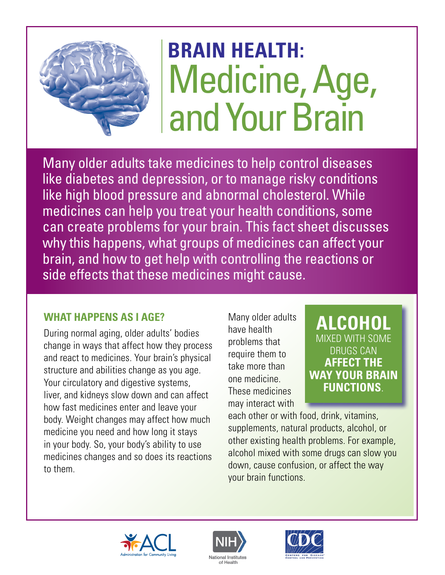# **BRAIN HEALTH:**  Medicine, Age, and Your Brain

Many older adults take medicines to help control diseases like diabetes and depression, or to manage risky conditions like high blood pressure and abnormal cholesterol. While medicines can help you treat your health conditions, some can create problems for your brain. This fact sheet discusses why this happens, what groups of medicines can affect your brain, and how to get help with controlling the reactions or side effects that these medicines might cause.

### **WHAT HAPPENS AS I AGE?**

During normal aging, older adults' bodies change in ways that affect how they process and react to medicines. Your brain's physical structure and abilities change as you age. Your circulatory and digestive systems, liver, and kidneys slow down and can affect how fast medicines enter and leave your body. Weight changes may affect how much medicine you need and how long it stays in your body. So, your body's ability to use medicines changes and so does its reactions to them.

Many older adults have health problems that require them to take more than one medicine. These medicines may interact with

# **ALCOHOL**  MIXED WITH SOME DRUGS CAN **AFFECT THE WAY YOUR BRAIN FUNCTIONS**.

each other or with food, drink, vitamins, supplements, natural products, alcohol, or other existing health problems. For example, alcohol mixed with some drugs can slow you down, cause confusion, or affect the way your brain functions.





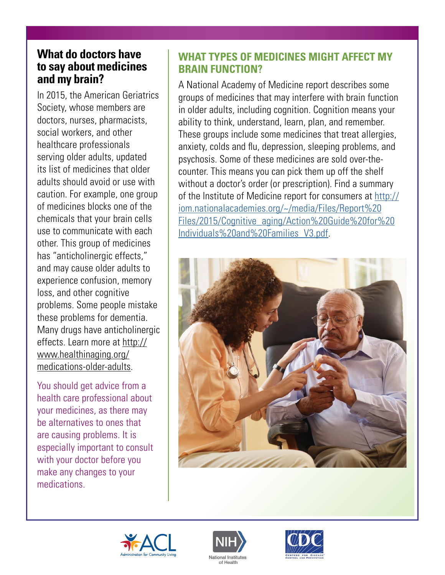## **What do doctors have to say about medicines and my brain?**

In 2015, the American Geriatrics Society, whose members are doctors, nurses, pharmacists, social workers, and other healthcare professionals serving older adults, updated its list of medicines that older adults should avoid or use with caution. For example, one group of medicines blocks one of the chemicals that your brain cells use to communicate with each other. This group of medicines has "anticholinergic effects," and may cause older adults to experience confusion, memory loss, and other cognitive problems. Some people mistake these problems for dementia. Many drugs have anticholinergic effects. Learn more at [http://](http://www.healthinaging.org/medications-older-adults) [www.healthinaging.org/](http://www.healthinaging.org/medications-older-adults) [medications-older-adults.](http://www.healthinaging.org/medications-older-adults)

You should get advice from a health care professional about your medicines, as there may be alternatives to ones that are causing problems. It is especially important to consult with your doctor before you make any changes to your medications.

## **WHAT TYPES OF MEDICINES MIGHT AFFECT MY BRAIN FUNCTION?**

A National Academy of Medicine report describes some groups of medicines that may interfere with brain function in older adults, including cognition. Cognition means your ability to think, understand, learn, plan, and remember. These groups include some medicines that treat allergies, anxiety, colds and flu, depression, sleeping problems, and psychosis. Some of these medicines are sold over-thecounter. This means you can pick them up off the shelf without a doctor's order (or prescription). Find a summary of the Institute of Medicine report for consumers at [http://](http://iom.nationalacademies.org/~/media/Files/Report%20Files/2015/Cognitive_aging/Action%20Guide%20for%20Individuals%20and%20Families_V3.pdf) [iom.nationalacademies.org/~/media/Files/Report%20](http://iom.nationalacademies.org/~/media/Files/Report%20Files/2015/Cognitive_aging/Action%20Guide%20for%20Individuals%20and%20Families_V3.pdf) [Files/2015/Cognitive\\_aging/Action%20Guide%20for%20](http://iom.nationalacademies.org/~/media/Files/Report%20Files/2015/Cognitive_aging/Action%20Guide%20for%20Individuals%20and%20Families_V3.pdf) [Individuals%20and%20Families\\_V3.pdf.](http://iom.nationalacademies.org/~/media/Files/Report%20Files/2015/Cognitive_aging/Action%20Guide%20for%20Individuals%20and%20Families_V3.pdf)